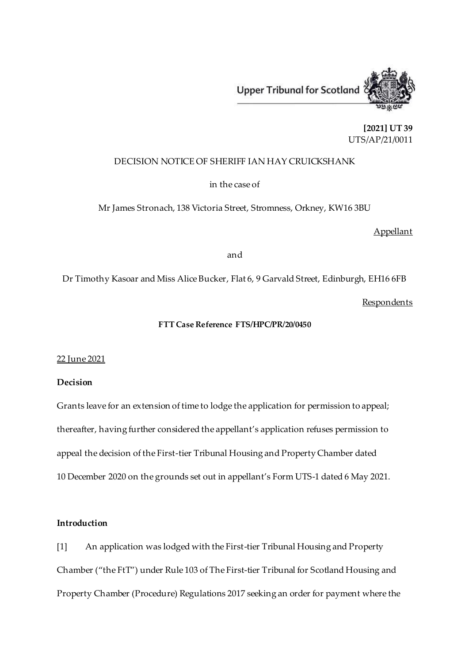

**[2021] UT 39** UTS/AP/21/0011

# DECISION NOTICE OF SHERIFF IAN HAY CRUICKSHANK

in the case of

Mr James Stronach, 138 Victoria Street, Stromness, Orkney, KW16 3BU

Appellant

and

Dr Timothy Kasoar and Miss Alice Bucker, Flat 6, 9 Garvald Street, Edinburgh, EH16 6FB

**Respondents** 

## **FTT Case Reference FTS/HPC/PR/20/0450**

#### 22 June 2021

### **Decision**

Grants leave for an extension of time to lodge the application for permission to appeal; thereafter, having further considered the appellant's application refuses permission to appeal the decision of the First-tier Tribunal Housing and Property Chamber dated 10 December 2020 on the grounds set out in appellant's Form UTS-1 dated 6 May 2021.

# **Introduction**

[1] An application was lodged with the First-tier Tribunal Housing and Property Chamber ("the FtT") under Rule 103 of The First-tier Tribunal for Scotland Housing and Property Chamber (Procedure) Regulations 2017 seeking an order for payment where the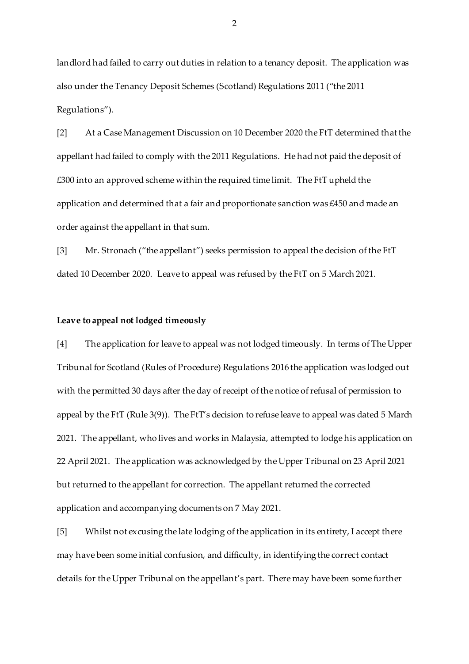landlord had failed to carry out duties in relation to a tenancy deposit. The application was also under the Tenancy Deposit Schemes (Scotland) Regulations 2011 ("the 2011 Regulations").

[2] At a Case Management Discussion on 10 December 2020 the FtT determined that the appellant had failed to comply with the 2011 Regulations. He had not paid the deposit of £300 into an approved scheme within the required time limit. The FtT upheld the application and determined that a fair and proportionate sanction was £450 and made an order against the appellant in that sum.

[3] Mr. Stronach ("the appellant") seeks permission to appeal the decision of the FtT dated 10 December 2020. Leave to appeal was refused by the FtT on 5 March 2021.

## **Leave to appeal not lodged timeously**

[4] The application for leave to appeal was not lodged timeously. In terms of The Upper Tribunal for Scotland (Rules of Procedure) Regulations 2016 the application was lodged out with the permitted 30 days after the day of receipt of the notice of refusal of permission to appeal by the FtT (Rule 3(9)). The FtT's decision to refuse leave to appeal was dated 5 March 2021. The appellant, who lives and works in Malaysia, attempted to lodge his application on 22 April 2021. The application was acknowledged by the Upper Tribunal on 23 April 2021 but returned to the appellant for correction. The appellant returned the corrected application and accompanying documents on 7 May 2021.

[5] Whilst not excusing the late lodging of the application in its entirety, I accept there may have been some initial confusion, and difficulty, in identifying the correct contact details for the Upper Tribunal on the appellant's part. There may have been some further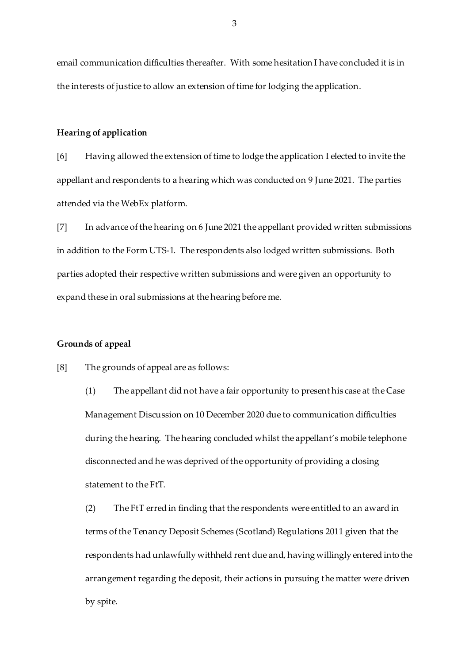email communication difficulties thereafter. With some hesitation I have concluded it is in the interests of justice to allow an extension of time for lodging the application.

### **Hearing of application**

[6] Having allowed the extension of time to lodge the application I elected to invite the appellant and respondents to a hearing which was conducted on 9 June 2021. The parties attended via the WebEx platform.

[7] In advance of the hearing on 6 June 2021 the appellant provided written submissions in addition to the Form UTS-1. The respondents also lodged written submissions. Both parties adopted their respective written submissions and were given an opportunity to expand these in oral submissions at the hearing before me.

## **Grounds of appeal**

[8] The grounds of appeal are as follows:

(1) The appellant did not have a fair opportunity to present his case at the Case Management Discussion on 10 December 2020 due to communication difficulties during the hearing. The hearing concluded whilst the appellant's mobile telephone disconnected and he was deprived of the opportunity of providing a closing statement to the FtT.

(2) The FtT erred in finding that the respondents were entitled to an award in terms of the Tenancy Deposit Schemes (Scotland) Regulations 2011 given that the respondents had unlawfully withheld rent due and, having willingly entered into the arrangement regarding the deposit, their actions in pursuing the matter were driven by spite.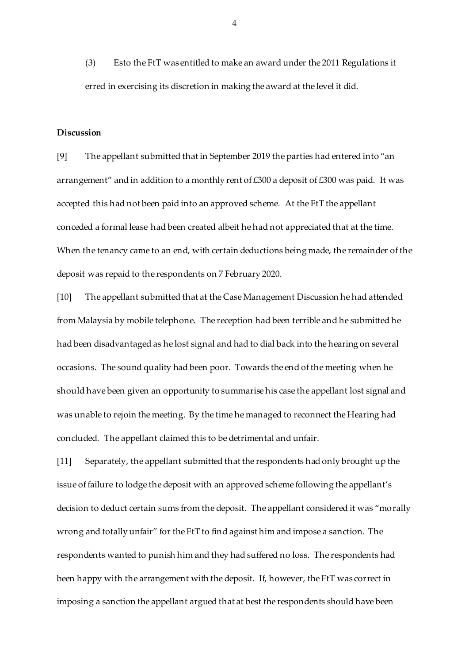(3) Esto the FtT was entitled to make an award under the 2011 Regulations it erred in exercising its discretion in making the award at the level it did.

#### **Discussion**

[9] The appellant submitted that in September 2019 the parties had entered into "an arrangement" and in addition to a monthly rent of £300 a deposit of £300 was paid. It was accepted this had not been paid into an approved scheme. At the FtT the appellant conceded a formal lease had been created albeit he had not appreciated that at the time. When the tenancy came to an end, with certain deductions being made, the remainder of the deposit was repaid to the respondents on 7 February 2020.

[10] The appellant submitted that at the Case Management Discussion he had attended from Malaysia by mobile telephone. The reception had been terrible and he submitted he had been disadvantaged as he lost signal and had to dial back into the hearing on several occasions. The sound quality had been poor. Towards the end of the meeting when he should have been given an opportunity to summarise his case the appellant lost signal and was unable to rejoin the meeting. By the time he managed to reconnect the Hearing had concluded. The appellant claimed this to be detrimental and unfair.

[11] Separately, the appellant submitted that the respondents had only brought up the issue of failure to lodge the deposit with an approved scheme following the appellant's decision to deduct certain sums from the deposit. The appellant considered it was "morally wrong and totally unfair" for the FtT to find against him and impose a sanction. The respondents wanted to punish him and they had suffered no loss. The respondents had been happy with the arrangement with the deposit. If, however, the FtT was correct in imposing a sanction the appellant argued that at best the respondents should have been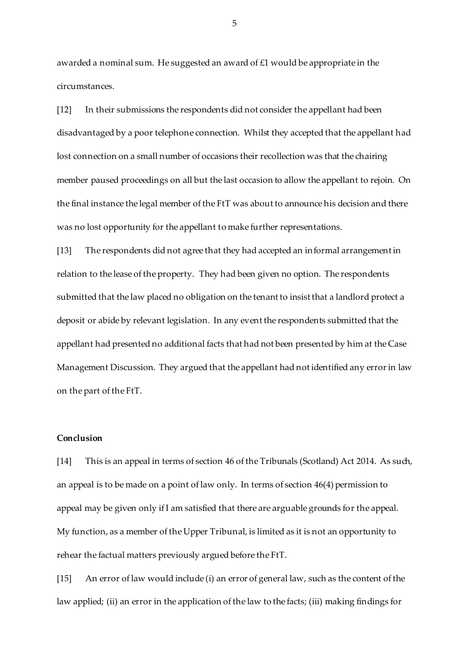awarded a nominal sum. He suggested an award of £1 would be appropriate in the circumstances.

[12] In their submissions the respondents did not consider the appellant had been disadvantaged by a poor telephone connection. Whilst they accepted that the appellant had lost connection on a small number of occasions their recollection was that the chairing member paused proceedings on all but the last occasion to allow the appellant to rejoin. On the final instance the legal member of the FtT was about to announce his decision and there was no lost opportunity for the appellant to make further representations.

[13] The respondents did not agree that they had accepted an informal arrangement in relation to the lease of the property. They had been given no option. The respondents submitted that the law placed no obligation on the tenant to insist that a landlord protect a deposit or abide by relevant legislation. In any event the respondents submitted that the appellant had presented no additional facts that had not been presented by him at the Case Management Discussion. They argued that the appellant had not identified any error in law on the part of the FtT.

## **Conclusion**

[14] This is an appeal in terms of section 46 of the Tribunals (Scotland) Act 2014. As such, an appeal is to be made on a point of law only. In terms of section 46(4) permission to appeal may be given only if I am satisfied that there are arguable grounds for the appeal. My function, as a member of the Upper Tribunal, is limited as it is not an opportunity to rehear the factual matters previously argued before the FtT.

[15] An error of law would include (i) an error of general law, such as the content of the law applied; (ii) an error in the application of the law to the facts; (iii) making findings for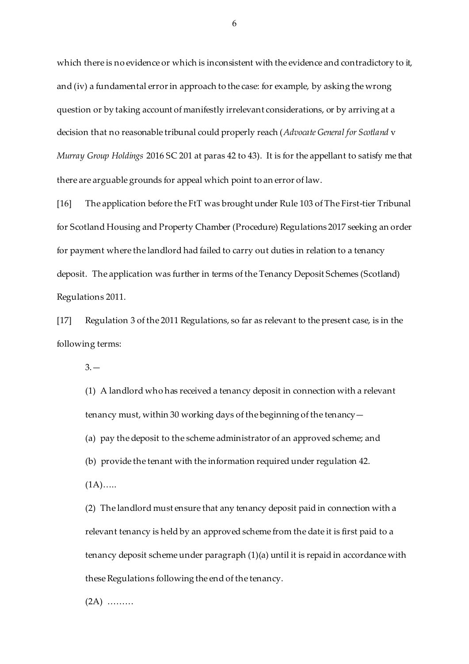which there is no evidence or which is inconsistent with the evidence and contradictory to it, and (iv) a fundamental error in approach to the case: for example, by asking the wrong question or by taking account of manifestly irrelevant considerations, or by arriving at a decision that no reasonable tribunal could properly reach (*Advocate General for Scotland* v *Murray Group Holdings* 2016 SC 201 at paras 42 to 43). It is for the appellant to satisfy me that there are arguable grounds for appeal which point to an error of law.

[16] The application before the FtT was brought under Rule 103 of The First-tier Tribunal for Scotland Housing and Property Chamber (Procedure) Regulations 2017 seeking an order for payment where the landlord had failed to carry out duties in relation to a tenancy deposit. The application was further in terms of the Tenancy Deposit Schemes (Scotland) Regulations 2011.

[17] Regulation 3 of the 2011 Regulations, so far as relevant to the present case, is in the following terms:

 $3 -$ 

(1) A landlord who has received a tenancy deposit in connection with a relevant tenancy must, within 30 working days of the beginning of the tenancy— (a) pay the deposit to the scheme administrator of an approved scheme; and (b) provide the tenant with the information required under regulation 42.  $(1A)$ ….

(2) The landlord must ensure that any tenancy deposit paid in connection with a relevant tenancy is held by an approved scheme from the date it is first paid to a tenancy deposit scheme under paragraph (1)(a) until it is repaid in accordance with these Regulations following the end of the tenancy.

 $(2A)$  ………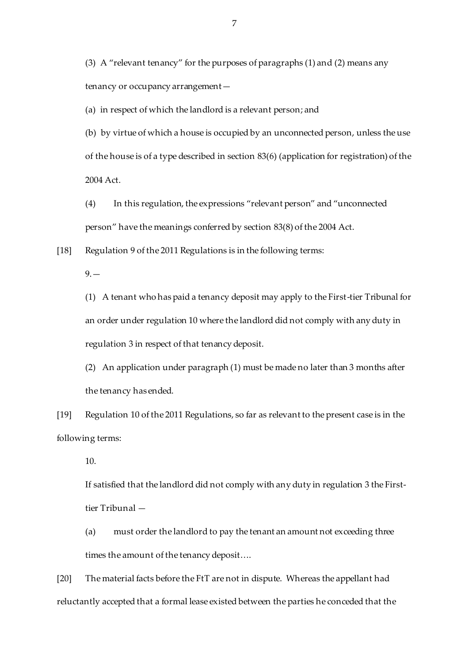(3) A "relevant tenancy" for the purposes of paragraphs (1) and (2) means any tenancy or occupancy arrangement—

(a) in respect of which the landlord is a relevant person; and

(b) by virtue of which a house is occupied by an unconnected person, unless the use of the house is of a type described in section 83(6) (application for registration) of the 2004 Act.

(4) In this regulation, the expressions "relevant person" and "unconnected person" have the meanings conferred by section 83(8) of the 2004 Act.

[18] Regulation 9 of the 2011 Regulations is in the following terms:

 $9 -$ 

(1) A tenant who has paid a tenancy deposit may apply to the First-tier Tribunal for an order under regulation 10 where the landlord did not comply with any duty in regulation 3 in respect of that tenancy deposit.

(2) An application under paragraph (1) must be made no later than 3 months after the tenancy has ended.

[19] Regulation 10 of the 2011 Regulations, so far as relevant to the present case is in the following terms:

10.

If satisfied that the landlord did not comply with any duty in regulation 3 the Firsttier Tribunal —

(a) must order the landlord to pay the tenant an amount not exceeding three times the amount of the tenancy deposit….

[20] The material facts before the FtT are not in dispute. Whereas the appellant had reluctantly accepted that a formal lease existed between the parties he conceded that the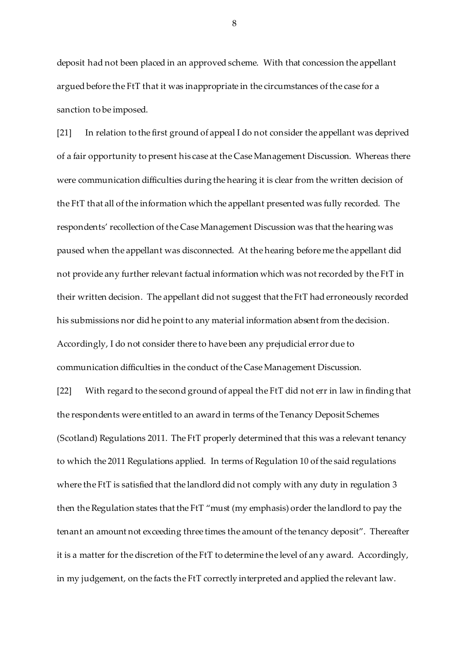deposit had not been placed in an approved scheme. With that concession the appellant argued before the FtT that it was inappropriate in the circumstances of the case for a sanction to be imposed.

[21] In relation to the first ground of appeal I do not consider the appellant was deprived of a fair opportunity to present his case at the Case Management Discussion. Whereas there were communication difficulties during the hearing it is clear from the written decision of the FtT that all of the information which the appellant presented was fully recorded. The respondents' recollection of the Case Management Discussion was that the hearing was paused when the appellant was disconnected. At the hearing before me the appellant did not provide any further relevant factual information which was not recorded by the FtT in their written decision. The appellant did not suggest that the FtT had erroneously recorded his submissions nor did he point to any material information absent from the decision. Accordingly, I do not consider there to have been any prejudicial error due to communication difficulties in the conduct of the Case Management Discussion.

[22] With regard to the second ground of appeal the FtT did not err in law in finding that the respondents were entitled to an award in terms of the Tenancy Deposit Schemes (Scotland) Regulations 2011. The FtT properly determined that this was a relevant tenancy to which the 2011 Regulations applied. In terms of Regulation 10 of the said regulations where the FtT is satisfied that the landlord did not comply with any duty in regulation 3 then the Regulation states that the FtT "must (my emphasis) order the landlord to pay the tenant an amount not exceeding three times the amount of the tenancy deposit". Thereafter it is a matter for the discretion of the FtT to determine the level of any award. Accordingly, in my judgement, on the facts the FtT correctly interpreted and applied the relevant law.